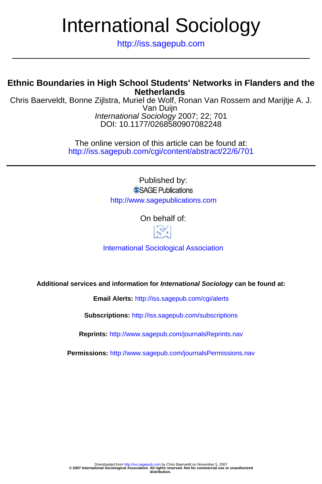# International Sociology

http://iss.sagepub.com

# **Netherlands Ethnic Boundaries in High School Students' Networks in Flanders and the**

DOI: 10.1177/0268580907082248 International Sociology 2007; 22; 701 Van Duijn Chris Baerveldt, Bonne Zijlstra, Muriel de Wolf, Ronan Van Rossem and Marijtje A. J.

> http://iss.sagepub.com/cgi/content/abstract/22/6/701 The online version of this article can be found at:

> > Published by: SSAGE Publications

http://www.sagepublications.com

On behalf of:



[International Sociological Association](http://www.ucm.es/info/isa/)

**Additional services and information for International Sociology can be found at:**

**Email Alerts:** <http://iss.sagepub.com/cgi/alerts>

**Subscriptions:** <http://iss.sagepub.com/subscriptions>

**Reprints:** <http://www.sagepub.com/journalsReprints.nav>

**Permissions:** <http://www.sagepub.com/journalsPermissions.nav>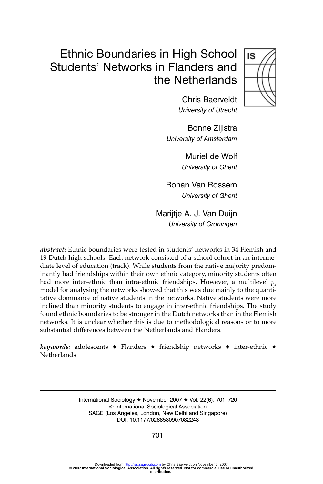# Ethnic Boundaries in High School Students' Networks in Flanders and the Netherlands



Chris Baerveldt *University of Utrecht*

Bonne Zijlstra *University of Amsterdam*

> Muriel de Wolf *University of Ghent*

Ronan Van Rossem *University of Ghent*

Marijtje A. J. Van Duijn *University of Groningen*

*abstract:* Ethnic boundaries were tested in students' networks in 34 Flemish and 19 Dutch high schools. Each network consisted of a school cohort in an intermediate level of education (track). While students from the native majority predominantly had friendships within their own ethnic category, minority students often had more inter-ethnic than intra-ethnic friendships. However, a multilevel  $p<sub>2</sub>$ model for analysing the networks showed that this was due mainly to the quantitative dominance of native students in the networks. Native students were more inclined than minority students to engage in inter-ethnic friendships. The study found ethnic boundaries to be stronger in the Dutch networks than in the Flemish networks. It is unclear whether this is due to methodological reasons or to more substantial differences between the Netherlands and Flanders.

*keywords:* adolescents ✦ Flanders ✦ friendship networks ✦ inter-ethnic ✦ **Netherlands** 

> International Sociology ✦ November 2007 ✦ Vol. 22(6): 701–720 © International Sociological Association SAGE (Los Angeles, London, New Delhi and Singapore) DOI: 10.1177/0268580907082248

> > 701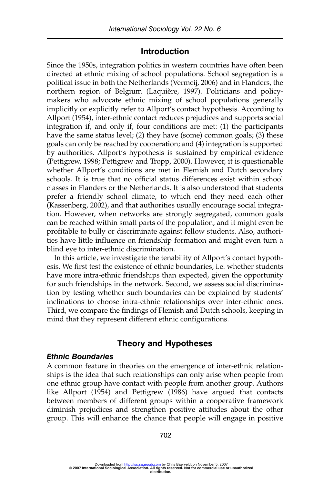#### **Introduction**

Since the 1950s, integration politics in western countries have often been directed at ethnic mixing of school populations. School segregation is a political issue in both the Netherlands (Vermeij, 2006) and in Flanders, the northern region of Belgium (Laquière, 1997). Politicians and policymakers who advocate ethnic mixing of school populations generally implicitly or explicitly refer to Allport's contact hypothesis. According to Allport (1954), inter-ethnic contact reduces prejudices and supports social integration if, and only if, four conditions are met: (1) the participants have the same status level; (2) they have (some) common goals; (3) these goals can only be reached by cooperation; and (4) integration is supported by authorities. Allport's hypothesis is sustained by empirical evidence (Pettigrew, 1998; Pettigrew and Tropp, 2000). However, it is questionable whether Allport's conditions are met in Flemish and Dutch secondary schools. It is true that no official status differences exist within school classes in Flanders or the Netherlands. It is also understood that students prefer a friendly school climate, to which end they need each other (Kassenberg, 2002), and that authorities usually encourage social integration. However, when networks are strongly segregated, common goals can be reached within small parts of the population, and it might even be profitable to bully or discriminate against fellow students. Also, authorities have little influence on friendship formation and might even turn a blind eye to inter-ethnic discrimination.

In this article, we investigate the tenability of Allport's contact hypothesis. We first test the existence of ethnic boundaries, i.e. whether students have more intra-ethnic friendships than expected, given the opportunity for such friendships in the network. Second, we assess social discrimination by testing whether such boundaries can be explained by students' inclinations to choose intra-ethnic relationships over inter-ethnic ones. Third, we compare the findings of Flemish and Dutch schools, keeping in mind that they represent different ethnic configurations.

# **Theory and Hypotheses**

#### *Ethnic Boundaries*

A common feature in theories on the emergence of inter-ethnic relationships is the idea that such relationships can only arise when people from one ethnic group have contact with people from another group. Authors like Allport (1954) and Pettigrew (1986) have argued that contacts between members of different groups within a cooperative framework diminish prejudices and strengthen positive attitudes about the other group. This will enhance the chance that people will engage in positive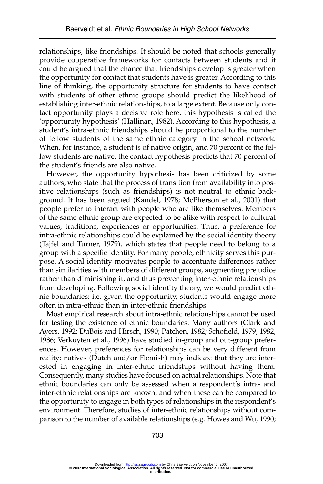relationships, like friendships. It should be noted that schools generally provide cooperative frameworks for contacts between students and it could be argued that the chance that friendships develop is greater when the opportunity for contact that students have is greater. According to this line of thinking, the opportunity structure for students to have contact with students of other ethnic groups should predict the likelihood of establishing inter-ethnic relationships, to a large extent. Because only contact opportunity plays a decisive role here, this hypothesis is called the 'opportunity hypothesis' (Hallinan, 1982). According to this hypothesis, a student's intra-ethnic friendships should be proportional to the number of fellow students of the same ethnic category in the school network. When, for instance, a student is of native origin, and 70 percent of the fellow students are native, the contact hypothesis predicts that 70 percent of the student's friends are also native.

However, the opportunity hypothesis has been criticized by some authors, who state that the process of transition from availability into positive relationships (such as friendships) is not neutral to ethnic background. It has been argued (Kandel, 1978; McPherson et al., 2001) that people prefer to interact with people who are like themselves. Members of the same ethnic group are expected to be alike with respect to cultural values, traditions, experiences or opportunities. Thus, a preference for intra-ethnic relationships could be explained by the social identity theory (Tajfel and Turner, 1979), which states that people need to belong to a group with a specific identity. For many people, ethnicity serves this purpose. A social identity motivates people to accentuate differences rather than similarities with members of different groups, augmenting prejudice rather than diminishing it, and thus preventing inter-ethnic relationships from developing. Following social identity theory, we would predict ethnic boundaries: i.e. given the opportunity, students would engage more often in intra-ethnic than in inter-ethnic friendships.

Most empirical research about intra-ethnic relationships cannot be used for testing the existence of ethnic boundaries. Many authors (Clark and Ayers, 1992; DuBois and Hirsch, 1990; Patchen, 1982; Schofield, 1979, 1982, 1986; Verkuyten et al., 1996) have studied in-group and out-group preferences. However, preferences for relationships can be very different from reality: natives (Dutch and/or Flemish) may indicate that they are interested in engaging in inter-ethnic friendships without having them. Consequently, many studies have focused on actual relationships. Note that ethnic boundaries can only be assessed when a respondent's intra- and inter-ethnic relationships are known, and when these can be compared to the opportunity to engage in both types of relationships in the respondent's environment. Therefore, studies of inter-ethnic relationships without comparison to the number of available relationships (e.g. Howes and Wu, 1990;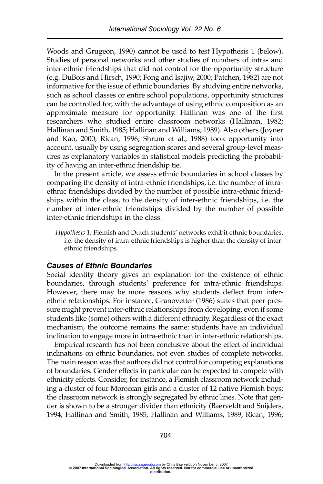Woods and Grugeon, 1990) cannot be used to test Hypothesis 1 (below). Studies of personal networks and other studies of numbers of intra- and inter-ethnic friendships that did not control for the opportunity structure (e.g. DuBois and Hirsch, 1990; Fong and Isajiw, 2000; Patchen, 1982) are not informative for the issue of ethnic boundaries. By studying entire networks, such as school classes or entire school populations, opportunity structures can be controlled for, with the advantage of using ethnic composition as an approximate measure for opportunity. Hallinan was one of the first researchers who studied entire classroom networks (Hallinan, 1982; Hallinan and Smith, 1985; Hallinan and Williams, 1989). Also others (Joyner and Kao, 2000; Rícan, 1996; Shrum et al., 1988) took opportunity into account, usually by using segregation scores and several group-level measures as explanatory variables in statistical models predicting the probability of having an inter-ethnic friendship tie.

In the present article, we assess ethnic boundaries in school classes by comparing the density of intra-ethnic friendships, i.e. the number of intraethnic friendships divided by the number of possible intra-ethnic friendships within the class, to the density of inter-ethnic friendships, i.e. the number of inter-ethnic friendships divided by the number of possible inter-ethnic friendships in the class.

*Hypothesis 1:* Flemish and Dutch students' networks exhibit ethnic boundaries, i.e. the density of intra-ethnic friendships is higher than the density of interethnic friendships.

#### *Causes of Ethnic Boundaries*

Social identity theory gives an explanation for the existence of ethnic boundaries, through students' preference for intra-ethnic friendships. However, there may be more reasons why students deflect from interethnic relationships. For instance, Granovetter (1986) states that peer pressure might prevent inter-ethnic relationships from developing, even if some students like (some) others with a different ethnicity. Regardless of the exact mechanism, the outcome remains the same: students have an individual inclination to engage more in intra-ethnic than in inter-ethnic relationships.

Empirical research has not been conclusive about the effect of individual inclinations on ethnic boundaries, not even studies of complete networks. The main reason was that authors did not control for competing explanations of boundaries. Gender effects in particular can be expected to compete with ethnicity effects. Consider, for instance, a Flemish classroom network including a cluster of four Moroccan girls and a cluster of 12 native Flemish boys; the classroom network is strongly segregated by ethnic lines. Note that gender is shown to be a stronger divider than ethnicity (Baerveldt and Snijders, 1994; Hallinan and Smith, 1985; Hallinan and Williams, 1989; Rícan, 1996;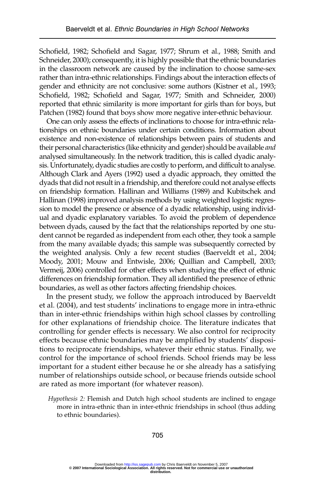Schofield, 1982; Schofield and Sagar, 1977; Shrum et al., 1988; Smith and Schneider, 2000); consequently, it is highly possible that the ethnic boundaries in the classroom network are caused by the inclination to choose same-sex rather than intra-ethnic relationships. Findings about the interaction effects of gender and ethnicity are not conclusive: some authors (Kistner et al., 1993; Schofield, 1982; Schofield and Sagar, 1977; Smith and Schneider, 2000) reported that ethnic similarity is more important for girls than for boys, but Patchen (1982) found that boys show more negative inter-ethnic behaviour.

One can only assess the effects of inclinations to choose for intra-ethnic relationships on ethnic boundaries under certain conditions. Information about existence and non-existence of relationships between pairs of students and their personal characteristics (like ethnicity and gender) should be available *and* analysed simultaneously. In the network tradition, this is called dyadic analysis. Unfortunately, dyadic studies are costly to perform, and difficult to analyse. Although Clark and Ayers (1992) used a dyadic approach, they omitted the dyads that did not result in a friendship, and therefore could not analyse effects on friendship formation. Hallinan and Williams (1989) and Kubitschek and Hallinan (1998) improved analysis methods by using weighted logistic regression to model the presence or absence of a dyadic relationship, using individual and dyadic explanatory variables. To avoid the problem of dependence between dyads, caused by the fact that the relationships reported by one student cannot be regarded as independent from each other, they took a sample from the many available dyads; this sample was subsequently corrected by the weighted analysis. Only a few recent studies (Baerveldt et al., 2004; Moody, 2001; Mouw and Entwisle, 2006; Quillian and Campbell, 2003; Vermeij, 2006) controlled for other effects when studying the effect of ethnic differences on friendship formation. They all identified the presence of ethnic boundaries, as well as other factors affecting friendship choices.

In the present study, we follow the approach introduced by Baerveldt et al. (2004), and test students' inclinations to engage more in intra-ethnic than in inter-ethnic friendships within high school classes by controlling for other explanations of friendship choice. The literature indicates that controlling for gender effects is necessary. We also control for reciprocity effects because ethnic boundaries may be amplified by students' dispositions to reciprocate friendships, whatever their ethnic status. Finally, we control for the importance of school friends. School friends may be less important for a student either because he or she already has a satisfying number of relationships outside school, or because friends outside school are rated as more important (for whatever reason).

*Hypothesis 2:* Flemish and Dutch high school students are inclined to engage more in intra-ethnic than in inter-ethnic friendships in school (thus adding to ethnic boundaries).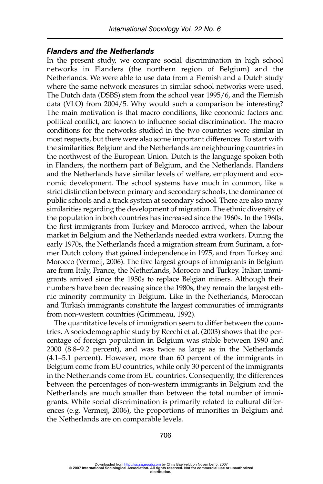#### *Flanders and the Netherlands*

In the present study, we compare social discrimination in high school networks in Flanders (the northern region of Belgium) and the Netherlands. We were able to use data from a Flemish and a Dutch study where the same network measures in similar school networks were used. The Dutch data (DSBS) stem from the school year 1995/6, and the Flemish data (VLO) from 2004/5. Why would such a comparison be interesting? The main motivation is that macro conditions, like economic factors and political conflict, are known to influence social discrimination. The macro conditions for the networks studied in the two countries were similar in most respects, but there were also some important differences. To start with the similarities: Belgium and the Netherlands are neighbouring countries in the northwest of the European Union. Dutch is the language spoken both in Flanders, the northern part of Belgium, and the Netherlands. Flanders and the Netherlands have similar levels of welfare, employment and economic development. The school systems have much in common, like a strict distinction between primary and secondary schools, the dominance of public schools and a track system at secondary school. There are also many similarities regarding the development of migration. The ethnic diversity of the population in both countries has increased since the 1960s. In the 1960s, the first immigrants from Turkey and Morocco arrived, when the labour market in Belgium and the Netherlands needed extra workers. During the early 1970s, the Netherlands faced a migration stream from Surinam, a former Dutch colony that gained independence in 1975, and from Turkey and Morocco (Vermeij, 2006). The five largest groups of immigrants in Belgium are from Italy, France, the Netherlands, Morocco and Turkey. Italian immigrants arrived since the 1950s to replace Belgian miners. Although their numbers have been decreasing since the 1980s, they remain the largest ethnic minority community in Belgium. Like in the Netherlands, Moroccan and Turkish immigrants constitute the largest communities of immigrants from non-western countries (Grimmeau, 1992).

The quantitative levels of immigration seem to differ between the countries. A sociodemographic study by Recchi et al. (2003) shows that the percentage of foreign population in Belgium was stable between 1990 and 2000 (8.8–9.2 percent), and was twice as large as in the Netherlands (4.1–5.1 percent). However, more than 60 percent of the immigrants in Belgium come from EU countries, while only 30 percent of the immigrants in the Netherlands come from EU countries. Consequently, the differences between the percentages of non-western immigrants in Belgium and the Netherlands are much smaller than between the total number of immigrants. While social discrimination is primarily related to cultural differences (e.g. Vermeij, 2006), the proportions of minorities in Belgium and the Netherlands are on comparable levels.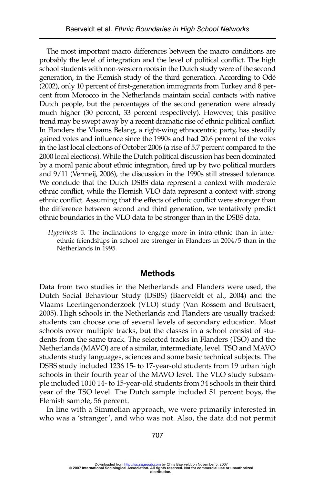The most important macro differences between the macro conditions are probably the level of integration and the level of political conflict. The high school students with non-western roots in the Dutch study were of the second generation, in the Flemish study of the third generation. According to Odé (2002), only 10 percent of first-generation immigrants from Turkey and 8 percent from Morocco in the Netherlands maintain social contacts with native Dutch people, but the percentages of the second generation were already much higher (30 percent, 33 percent respectively). However, this positive trend may be swept away by a recent dramatic rise of ethnic political conflict. In Flanders the Vlaams Belang, a right-wing ethnocentric party, has steadily gained votes and influence since the 1990s and had 20.6 percent of the votes in the last local elections of October 2006 (a rise of 5.7 percent compared to the 2000 local elections). While the Dutch political discussion has been dominated by a moral panic about ethnic integration, fired up by two political murders and 9/11 (Vermeij, 2006), the discussion in the 1990s still stressed tolerance. We conclude that the Dutch DSBS data represent a context with moderate ethnic conflict, while the Flemish VLO data represent a context with strong ethnic conflict. Assuming that the effects of ethnic conflict were stronger than the difference between second and third generation, we tentatively predict ethnic boundaries in the VLO data to be stronger than in the DSBS data.

*Hypothesis 3:* The inclinations to engage more in intra-ethnic than in interethnic friendships in school are stronger in Flanders in 2004/5 than in the Netherlands in 1995.

#### **Methods**

Data from two studies in the Netherlands and Flanders were used, the Dutch Social Behaviour Study (DSBS) (Baerveldt et al., 2004) and the Vlaams Leerlingenonderzoek (VLO) study (Van Rossem and Brutsaert, 2005). High schools in the Netherlands and Flanders are usually tracked: students can choose one of several levels of secondary education. Most schools cover multiple tracks, but the classes in a school consist of students from the same track. The selected tracks in Flanders (TSO) and the Netherlands (MAVO) are of a similar, intermediate, level. TSO and MAVO students study languages, sciences and some basic technical subjects. The DSBS study included 1236 15- to 17-year-old students from 19 urban high schools in their fourth year of the MAVO level. The VLO study subsample included 1010 14- to 15-year-old students from 34 schools in their third year of the TSO level. The Dutch sample included 51 percent boys, the Flemish sample, 56 percent.

In line with a Simmelian approach, we were primarily interested in who was a 'stranger', and who was not. Also, the data did not permit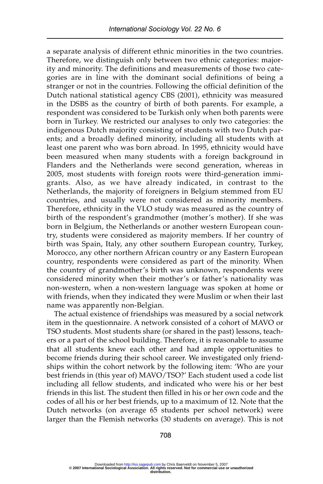a separate analysis of different ethnic minorities in the two countries. Therefore, we distinguish only between two ethnic categories: majority and minority. The definitions and measurements of those two categories are in line with the dominant social definitions of being a stranger or not in the countries. Following the official definition of the Dutch national statistical agency CBS (2001), ethnicity was measured in the DSBS as the country of birth of both parents. For example, a respondent was considered to be Turkish only when both parents were born in Turkey. We restricted our analyses to only two categories: the indigenous Dutch majority consisting of students with two Dutch parents; and a broadly defined minority, including all students with at least one parent who was born abroad. In 1995, ethnicity would have been measured when many students with a foreign background in Flanders and the Netherlands were second generation, whereas in 2005, most students with foreign roots were third-generation immigrants. Also, as we have already indicated, in contrast to the Netherlands, the majority of foreigners in Belgium stemmed from EU countries, and usually were not considered as minority members. Therefore, ethnicity in the VLO study was measured as the country of birth of the respondent's grandmother (mother's mother). If she was born in Belgium, the Netherlands or another western European country, students were considered as majority members. If her country of birth was Spain, Italy, any other southern European country, Turkey, Morocco, any other northern African country or any Eastern European country, respondents were considered as part of the minority. When the country of grandmother's birth was unknown, respondents were considered minority when their mother's or father's nationality was non-western, when a non-western language was spoken at home or with friends, when they indicated they were Muslim or when their last name was apparently non-Belgian.

The actual existence of friendships was measured by a social network item in the questionnaire. A network consisted of a cohort of MAVO or TSO students. Most students share (or shared in the past) lessons, teachers or a part of the school building. Therefore, it is reasonable to assume that all students knew each other and had ample opportunities to become friends during their school career. We investigated only friendships within the cohort network by the following item: 'Who are your best friends in (this year of) MAVO/TSO?' Each student used a code list including all fellow students, and indicated who were his or her best friends in this list. The student then filled in his or her own code and the codes of all his or her best friends, up to a maximum of 12. Note that the Dutch networks (on average 65 students per school network) were larger than the Flemish networks (30 students on average). This is not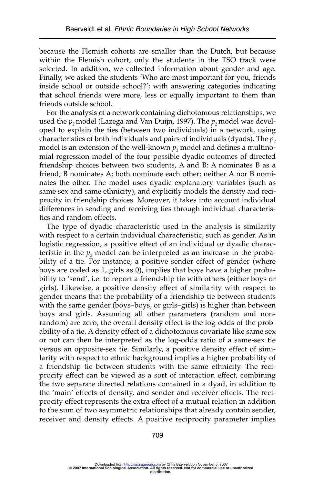because the Flemish cohorts are smaller than the Dutch, but because within the Flemish cohort, only the students in the TSO track were selected. In addition, we collected information about gender and age. Finally, we asked the students 'Who are most important for you, friends inside school or outside school?'; with answering categories indicating that school friends were more, less or equally important to them than friends outside school.

For the analysis of a network containing dichotomous relationships, we used the *p*<sub>2</sub> model (Lazega and Van Duijn, 1997). The *p*<sub>2</sub> model was developed to explain the ties (between two individuals) in a network, using characteristics of both individuals and pairs of individuals (dyads). The  $p<sub>2</sub>$ model is an extension of the well-known  $p_1$  model and defines a multinomial regression model of the four possible dyadic outcomes of directed friendship choices between two students, A and B: A nominates B as a friend; B nominates A; both nominate each other; neither A nor B nominates the other. The model uses dyadic explanatory variables (such as same sex and same ethnicity), and explicitly models the density and reciprocity in friendship choices. Moreover, it takes into account individual differences in sending and receiving ties through individual characteristics and random effects.

The type of dyadic characteristic used in the analysis is similarity with respect to a certain individual characteristic, such as gender. As in logistic regression, a positive effect of an individual or dyadic characteristic in the  $p<sub>2</sub>$  model can be interpreted as an increase in the probability of a tie. For instance, a positive sender effect of gender (where boys are coded as 1, girls as 0), implies that boys have a higher probability to 'send', i.e. to report a friendship tie with others (either boys or girls). Likewise, a positive density effect of similarity with respect to gender means that the probability of a friendship tie between students with the same gender (boys–boys, or girls–girls) is higher than between boys and girls. Assuming all other parameters (random and nonrandom) are zero, the overall density effect is the log-odds of the probability of a tie. A density effect of a dichotomous covariate like same sex or not can then be interpreted as the log-odds ratio of a same-sex tie versus an opposite-sex tie. Similarly, a positive density effect of similarity with respect to ethnic background implies a higher probability of a friendship tie between students with the same ethnicity. The reciprocity effect can be viewed as a sort of interaction effect, combining the two separate directed relations contained in a dyad, in addition to the 'main' effects of density, and sender and receiver effects. The reciprocity effect represents the extra effect of a mutual relation in addition to the sum of two asymmetric relationships that already contain sender, receiver and density effects. A positive reciprocity parameter implies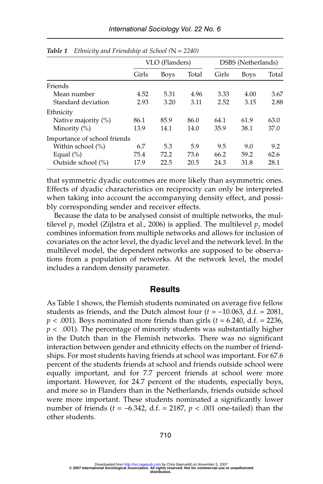|                              | VLO (Flanders) |             |       | DSBS (Netherlands) |             |       |
|------------------------------|----------------|-------------|-------|--------------------|-------------|-------|
|                              | Girls          | <b>Boys</b> | Total | Girls              | <b>Boys</b> | Total |
| Friends                      |                |             |       |                    |             |       |
| Mean number                  | 4.52           | 5.31        | 4.96  | 3.33               | 4.00        | 3.67  |
| Standard deviation           | 2.93           | 3.20        | 3.11  | 2.52               | 3.15        | 2.88  |
| Ethnicity                    |                |             |       |                    |             |       |
| Native majority $(\%)$       | 86.1           | 85.9        | 86.0  | 64.1               | 61.9        | 63.0  |
| Minority $(\%)$              | 13.9           | 14.1        | 14.0  | 35.9               | 38.1        | 37.0  |
| Importance of school friends |                |             |       |                    |             |       |
| Within school $(\%)$         | 6.7            | 5.3         | 5.9   | 9.5                | 9.0         | 9.2   |
| Equal $(\%)$                 | 75.4           | 72.2        | 73.6  | 66.2               | 59.2        | 62.6  |
| Outside school (%)           | 17.9           | 22.5        | 20.5  | 24.3               | 31.8        | 28.1  |

*Table 1 Ethnicity and Friendship at School (*N = *2240)*

that symmetric dyadic outcomes are more likely than asymmetric ones. Effects of dyadic characteristics on reciprocity can only be interpreted when taking into account the accompanying density effect, and possibly corresponding sender and receiver effects.

Because the data to be analysed consist of multiple networks, the multilevel  $p_2$  model (Zijlstra et al., 2006) is applied. The multilevel  $p_2$  model combines information from multiple networks and allows for inclusion of covariates on the actor level, the dyadic level and the network level. In the multilevel model, the dependent networks are supposed to be observations from a population of networks. At the network level, the model includes a random density parameter.

#### **Results**

As Table 1 shows, the Flemish students nominated on average five fellow students as friends, and the Dutch almost four  $(t = -10.063, d.f. = 2081,$  $p < .001$ ). Boys nominated more friends than girls ( $t = 6.240$ , d.f. = 2236,  $p < .001$ ). The percentage of minority students was substantially higher in the Dutch than in the Flemish networks. There was no significant interaction between gender and ethnicity effects on the number of friendships. For most students having friends at school was important. For 67.6 percent of the students friends at school and friends outside school were equally important, and for 7.7 percent friends at school were more important. However, for 24.7 percent of the students, especially boys, and more so in Flanders than in the Netherlands, friends outside school were more important. These students nominated a significantly lower number of friends (*t* = −6.342, d.f. = 2187, *p* < .001 one-tailed) than the other students.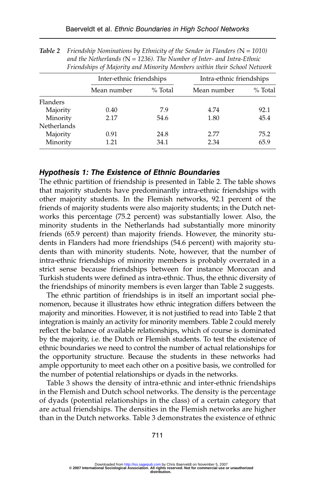|             | Inter-ethnic friendships |         | Intra-ethnic friendships |           |  |
|-------------|--------------------------|---------|--------------------------|-----------|--|
|             | Mean number              | % Total | Mean number              | $%$ Total |  |
| Flanders    |                          |         |                          |           |  |
| Majority    | 0.40                     | 7.9     | 4.74                     | 92.1      |  |
| Minority    | 2.17                     | 54.6    | 1.80                     | 45.4      |  |
| Netherlands |                          |         |                          |           |  |
| Majority    | 0.91                     | 24.8    | 2.77                     | 75.2      |  |
| Minority    | 1.21                     | 34.1    | 2.34                     | 65.9      |  |

*Table 2 Friendship Nominations by Ethnicity of the Sender in Flanders (*N = *1010) and the Netherlands (*N = *1236). The Number of Inter- and Intra-Ethnic Friendships of Majority and Minority Members within their School Network*

#### *Hypothesis 1: The Existence of Ethnic Boundaries*

The ethnic partition of friendship is presented in Table 2. The table shows that majority students have predominantly intra-ethnic friendships with other majority students. In the Flemish networks, 92.1 percent of the friends of majority students were also majority students; in the Dutch networks this percentage (75.2 percent) was substantially lower. Also, the minority students in the Netherlands had substantially more minority friends (65.9 percent) than majority friends. However, the minority students in Flanders had more friendships (54.6 percent) with majority students than with minority students. Note, however, that the number of intra-ethnic friendships of minority members is probably overrated in a strict sense because friendships between for instance Moroccan and Turkish students were defined as intra-ethnic. Thus, the ethnic diversity of the friendships of minority members is even larger than Table 2 suggests.

The ethnic partition of friendships is in itself an important social phenomenon, because it illustrates how ethnic integration differs between the majority and minorities. However, it is not justified to read into Table 2 that integration is mainly an activity for minority members. Table 2 could merely reflect the balance of available relationships, which of course is dominated by the majority, i.e. the Dutch or Flemish students. To test the existence of ethnic boundaries we need to control the number of actual relationships for the opportunity structure. Because the students in these networks had ample opportunity to meet each other on a positive basis, we controlled for the number of potential relationships or dyads in the networks.

Table 3 shows the density of intra-ethnic and inter-ethnic friendships in the Flemish and Dutch school networks. The density is the percentage of dyads (potential relationships in the class) of a certain category that are actual friendships. The densities in the Flemish networks are higher than in the Dutch networks. Table 3 demonstrates the existence of ethnic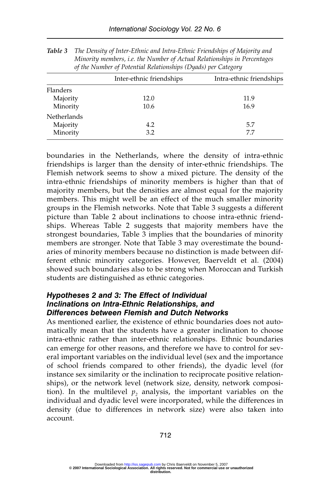|                    | Inter-ethnic friendships | Intra-ethnic friendships |  |  |
|--------------------|--------------------------|--------------------------|--|--|
| Flanders           |                          |                          |  |  |
| Majority           | 12.0                     | 11.9                     |  |  |
| Minority           | 10.6                     | 16.9                     |  |  |
| <b>Netherlands</b> |                          |                          |  |  |
| Majority           | 4.2                      | 5.7                      |  |  |
| Minority           | 3.2                      | 77                       |  |  |

*Table 3 The Density of Inter-Ethnic and Intra-Ethnic Friendships of Majority and Minority members, i.e. the Number of Actual Relationships in Percentages of the Number of Potential Relationships (Dyads) per Category*

boundaries in the Netherlands, where the density of intra-ethnic friendships is larger than the density of inter-ethnic friendships. The Flemish network seems to show a mixed picture. The density of the intra-ethnic friendships of minority members is higher than that of majority members, but the densities are almost equal for the majority members. This might well be an effect of the much smaller minority groups in the Flemish networks. Note that Table 3 suggests a different picture than Table 2 about inclinations to choose intra-ethnic friendships. Whereas Table 2 suggests that majority members have the strongest boundaries, Table 3 implies that the boundaries of minority members are stronger. Note that Table 3 may overestimate the boundaries of minority members because no distinction is made between different ethnic minority categories. However, Baerveldt et al. (2004) showed such boundaries also to be strong when Moroccan and Turkish students are distinguished as ethnic categories.

### *Hypotheses 2 and 3: The Effect of Individual Inclinations on Intra-Ethnic Relationships, and Differences between Flemish and Dutch Networks*

As mentioned earlier, the existence of ethnic boundaries does not automatically mean that the students have a greater inclination to choose intra-ethnic rather than inter-ethnic relationships. Ethnic boundaries can emerge for other reasons, and therefore we have to control for several important variables on the individual level (sex and the importance of school friends compared to other friends), the dyadic level (for instance sex similarity or the inclination to reciprocate positive relationships), or the network level (network size, density, network composition). In the multilevel  $p_2$  analysis, the important variables on the individual and dyadic level were incorporated, while the differences in density (due to differences in network size) were also taken into account.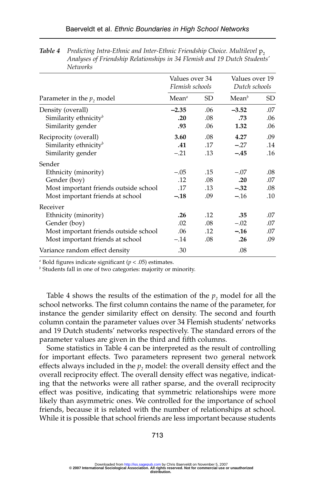|                                       | Values over 34<br>Flemish schools |     | Values over 19<br>Dutch schools |     |
|---------------------------------------|-----------------------------------|-----|---------------------------------|-----|
| Parameter in the $p$ , model          | Mean <sup>a</sup>                 | SD  | $Mean^b$                        | SD. |
| Density (overall)                     | $-2.35$                           | .06 | $-3.52$                         | .07 |
| Similarity ethnicity $\psi$           | .20                               | .08 | .73                             | .06 |
| Similarity gender                     | .93                               | .06 | 1.32                            | .06 |
| Reciprocity (overall)                 | 3.60                              | .08 | 4.27                            | .09 |
| Similarity ethnicity $\psi$           | .41                               | .17 | $-.27$                          | .14 |
| Similarity gender                     | $-.21$                            | .13 | $-.45$                          | .16 |
| Sender                                |                                   |     |                                 |     |
| Ethnicity (minority)                  | $-.05$                            | .15 | $-.07$                          | .08 |
| Gender (boy)                          | .12                               | .08 | .20                             | .07 |
| Most important friends outside school | .17                               | .13 | $-.32$                          | .08 |
| Most important friends at school      | $-.18$                            | .09 | $-.16$                          | .10 |
| Receiver                              |                                   |     |                                 |     |
| Ethnicity (minority)                  | .26                               | .12 | .35                             | .07 |
| Gender (boy)                          | .02                               | .08 | $-.02$                          | .07 |
| Most important friends outside school | .06                               | .12 | $-.16$                          | .07 |
| Most important friends at school      | $-.14$                            | .08 | .26                             | .09 |
| Variance random effect density        | .30                               |     | .08                             |     |

**Table 4** Predicting Intra-Ethnic and Inter-Ethnic Friendship Choice. Multilevel p<sub>2</sub> *Analyses of Friendship Relationships in 34 Flemish and 19 Dutch Students' Networks*

*<sup>a</sup>* Bold figures indicate significant (*p* < .05) estimates.

*<sup>b</sup>* Students fall in one of two categories: majority or minority.

Table 4 shows the results of the estimation of the  $p_2$  model for all the school networks. The first column contains the name of the parameter, for instance the gender similarity effect on density. The second and fourth column contain the parameter values over 34 Flemish students' networks and 19 Dutch students' networks respectively. The standard errors of the parameter values are given in the third and fifth columns.

Some statistics in Table 4 can be interpreted as the result of controlling for important effects. Two parameters represent two general network effects always included in the  $p<sub>2</sub>$  model: the overall density effect and the overall reciprocity effect. The overall density effect was negative, indicating that the networks were all rather sparse, and the overall reciprocity effect was positive, indicating that symmetric relationships were more likely than asymmetric ones. We controlled for the importance of school friends, because it is related with the number of relationships at school. While it is possible that school friends are less important because students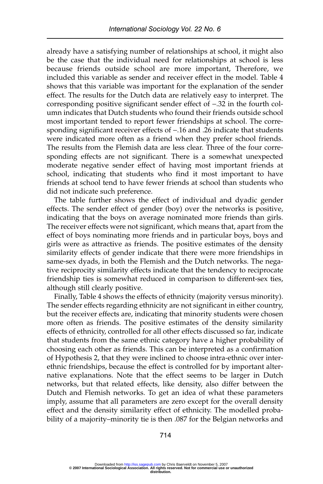already have a satisfying number of relationships at school, it might also be the case that the individual need for relationships at school is less because friends outside school are more important, Therefore, we included this variable as sender and receiver effect in the model. Table 4 shows that this variable was important for the explanation of the sender effect. The results for the Dutch data are relatively easy to interpret. The corresponding positive significant sender effect of −.32 in the fourth column indicates that Dutch students who found their friends outside school most important tended to report fewer friendships at school. The corresponding significant receiver effects of −.16 and .26 indicate that students were indicated more often as a friend when they prefer school friends. The results from the Flemish data are less clear. Three of the four corresponding effects are not significant. There is a somewhat unexpected moderate negative sender effect of having most important friends at school, indicating that students who find it most important to have friends at school tend to have fewer friends at school than students who did not indicate such preference.

The table further shows the effect of individual and dyadic gender effects. The sender effect of gender (boy) over the networks is positive, indicating that the boys on average nominated more friends than girls. The receiver effects were not significant, which means that, apart from the effect of boys nominating more friends and in particular boys, boys and girls were as attractive as friends. The positive estimates of the density similarity effects of gender indicate that there were more friendships in same-sex dyads, in both the Flemish and the Dutch networks. The negative reciprocity similarity effects indicate that the tendency to reciprocate friendship ties is somewhat reduced in comparison to different-sex ties, although still clearly positive.

Finally, Table 4 shows the effects of ethnicity (majority versus minority). The sender effects regarding ethnicity are not significant in either country, but the receiver effects are, indicating that minority students were chosen more often as friends. The positive estimates of the density similarity effects of ethnicity, controlled for all other effects discussed so far, indicate that students from the same ethnic category have a higher probability of choosing each other as friends. This can be interpreted as a confirmation of Hypothesis 2, that they were inclined to choose intra-ethnic over interethnic friendships, because the effect is controlled for by important alternative explanations. Note that the effect seems to be larger in Dutch networks, but that related effects, like density, also differ between the Dutch and Flemish networks. To get an idea of what these parameters imply, assume that all parameters are zero except for the overall density effect and the density similarity effect of ethnicity. The modelled probability of a majority–minority tie is then .087 for the Belgian networks and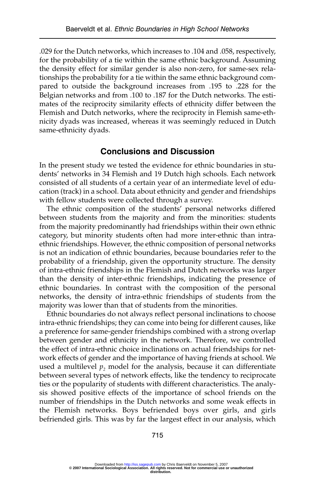.029 for the Dutch networks, which increases to .104 and .058, respectively, for the probability of a tie within the same ethnic background. Assuming the density effect for similar gender is also non-zero, for same-sex relationships the probability for a tie within the same ethnic background compared to outside the background increases from .195 to .228 for the Belgian networks and from .100 to .187 for the Dutch networks. The estimates of the reciprocity similarity effects of ethnicity differ between the Flemish and Dutch networks, where the reciprocity in Flemish same-ethnicity dyads was increased, whereas it was seemingly reduced in Dutch same-ethnicity dyads.

# **Conclusions and Discussion**

In the present study we tested the evidence for ethnic boundaries in students' networks in 34 Flemish and 19 Dutch high schools. Each network consisted of all students of a certain year of an intermediate level of education (track) in a school. Data about ethnicity and gender and friendships with fellow students were collected through a survey.

The ethnic composition of the students' personal networks differed between students from the majority and from the minorities: students from the majority predominantly had friendships within their own ethnic category, but minority students often had more inter-ethnic than intraethnic friendships. However, the ethnic composition of personal networks is not an indication of ethnic boundaries, because boundaries refer to the probability of a friendship, given the opportunity structure. The density of intra-ethnic friendships in the Flemish and Dutch networks was larger than the density of inter-ethnic friendships, indicating the presence of ethnic boundaries. In contrast with the composition of the personal networks, the density of intra-ethnic friendships of students from the majority was lower than that of students from the minorities.

Ethnic boundaries do not always reflect personal inclinations to choose intra-ethnic friendships; they can come into being for different causes, like a preference for same-gender friendships combined with a strong overlap between gender and ethnicity in the network. Therefore, we controlled the effect of intra-ethnic choice inclinations on actual friendships for network effects of gender and the importance of having friends at school. We used a multilevel  $p<sub>2</sub>$  model for the analysis, because it can differentiate between several types of network effects, like the tendency to reciprocate ties or the popularity of students with different characteristics. The analysis showed positive effects of the importance of school friends on the number of friendships in the Dutch networks and some weak effects in the Flemish networks. Boys befriended boys over girls, and girls befriended girls. This was by far the largest effect in our analysis, which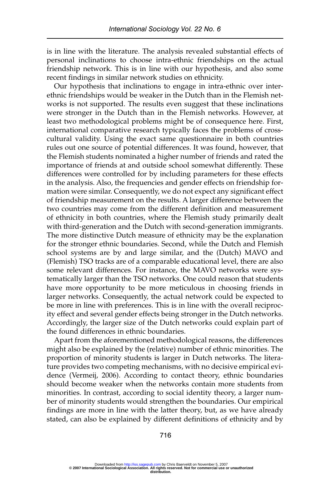is in line with the literature. The analysis revealed substantial effects of personal inclinations to choose intra-ethnic friendships on the actual friendship network. This is in line with our hypothesis, and also some recent findings in similar network studies on ethnicity.

Our hypothesis that inclinations to engage in intra-ethnic over interethnic friendships would be weaker in the Dutch than in the Flemish networks is not supported. The results even suggest that these inclinations were stronger in the Dutch than in the Flemish networks. However, at least two methodological problems might be of consequence here. First, international comparative research typically faces the problems of crosscultural validity. Using the exact same questionnaire in both countries rules out one source of potential differences. It was found, however, that the Flemish students nominated a higher number of friends and rated the importance of friends at and outside school somewhat differently. These differences were controlled for by including parameters for these effects in the analysis. Also, the frequencies and gender effects on friendship formation were similar. Consequently, we do not expect any significant effect of friendship measurement on the results. A larger difference between the two countries may come from the different definition and measurement of ethnicity in both countries, where the Flemish study primarily dealt with third-generation and the Dutch with second-generation immigrants. The more distinctive Dutch measure of ethnicity may be the explanation for the stronger ethnic boundaries. Second, while the Dutch and Flemish school systems are by and large similar, and the (Dutch) MAVO and (Flemish) TSO tracks are of a comparable educational level, there are also some relevant differences. For instance, the MAVO networks were systematically larger than the TSO networks. One could reason that students have more opportunity to be more meticulous in choosing friends in larger networks. Consequently, the actual network could be expected to be more in line with preferences. This is in line with the overall reciprocity effect and several gender effects being stronger in the Dutch networks. Accordingly, the larger size of the Dutch networks could explain part of the found differences in ethnic boundaries.

Apart from the aforementioned methodological reasons, the differences might also be explained by the (relative) number of ethnic minorities. The proportion of minority students is larger in Dutch networks. The literature provides two competing mechanisms, with no decisive empirical evidence (Vermeij, 2006). According to contact theory, ethnic boundaries should become weaker when the networks contain more students from minorities. In contrast, according to social identity theory, a larger number of minority students would strengthen the boundaries. Our empirical findings are more in line with the latter theory, but, as we have already stated, can also be explained by different definitions of ethnicity and by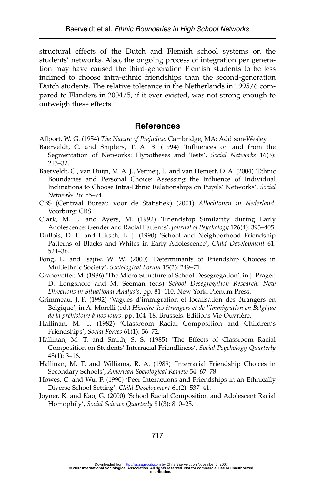structural effects of the Dutch and Flemish school systems on the students' networks. Also, the ongoing process of integration per generation may have caused the third-generation Flemish students to be less inclined to choose intra-ethnic friendships than the second-generation Dutch students. The relative tolerance in the Netherlands in 1995/6 compared to Flanders in 2004/5, if it ever existed, was not strong enough to outweigh these effects.

#### **References**

Allport, W. G. (1954) *The Nature of Prejudice*. Cambridge, MA: Addison-Wesley.

- Baerveldt, C. and Snijders, T. A. B. (1994) 'Influences on and from the Segmentation of Networks: Hypotheses and Tests', *Social Networks* 16(3): 213–32.
- Baerveldt, C., van Duijn, M. A. J., Vermeij, L. and van Hemert, D. A. (2004) 'Ethnic Boundaries and Personal Choice: Assessing the Influence of Individual Inclinations to Choose Intra-Ethnic Relationships on Pupils' Networks', *Social Networks* 26: 55–74.
- CBS (Centraal Bureau voor de Statistiek) (2001) *Allochtonen in Nederland*. Voorburg: CBS.
- Clark, M. L. and Ayers, M. (1992) 'Friendship Similarity during Early Adolescence: Gender and Racial Patterns', *Journal of Psychology* 126(4): 393–405.
- DuBois, D. L. and Hirsch, B. J. (1990) 'School and Neighborhood Friendship Patterns of Blacks and Whites in Early Adolescence', *Child Development* 61: 524–36.
- Fong, E. and Isajiw, W. W. (2000) 'Determinants of Friendship Choices in Multiethnic Society', *Sociological Forum* 15(2): 249–71.
- Granovetter, M. (1986) 'The Micro-Structure of School Desegregation', in J. Prager, D. Longshore and M. Seeman (eds) *School Desegregation Research: New Directions in Situational Analysis*, pp. 81–110. New York: Plenum Press.
- Grimmeau, J.-P. (1992) 'Vagues d'immigration et localisation des étrangers en Belgique', in A. Morelli (ed.) *Histoire des étrangers et de l'immigration en Belgique de la préhistoire à nos jours*, pp. 104–18. Brussels: Editions Vie Ouvrière.
- Hallinan, M. T. (1982) 'Classroom Racial Composition and Children's Friendships', *Social Forces* 61(1): 56–72.
- Hallinan, M. T. and Smith, S. S. (1985) 'The Effects of Classroom Racial Composition on Students' Interracial Friendliness', *Social Psychology Quarterly* 48(1): 3–16.
- Hallinan, M. T. and Williams, R. A. (1989) 'Interracial Friendship Choices in Secondary Schools', *American Sociological Review* 54: 67–78.
- Howes, C. and Wu, F. (1990) 'Peer Interactions and Friendships in an Ethnically Diverse School Setting', *Child Development* 61(2): 537–41.
- Joyner, K. and Kao, G. (2000) 'School Racial Composition and Adolescent Racial Homophily', *Social Science Quarterly* 81(3): 810–25.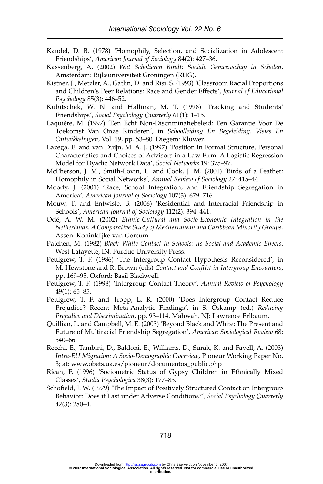- Kandel, D. B. (1978) 'Homophily, Selection, and Socialization in Adolescent Friendships', *American Journal of Sociology* 84(2): 427–36.
- Kassenberg, A. (2002) *Wat Scholieren Bindt: Sociale Gemeenschap in Scholen*. Amsterdam: Rijksuniversiteit Groningen (RUG).
- Kistner, J., Metzler, A., Gatlin, D. and Risi, S. (1993) 'Classroom Racial Proportions and Children's Peer Relations: Race and Gender Effects', *Journal of Educational Psychology* 85(3): 446–52.
- Kubitschek, W. N. and Hallinan, M. T. (1998) 'Tracking and Students' Friendships', *Social Psychology Quarterly* 61(1): 1–15.
- Laquière, M. (1997) 'Een Echt Non-Discriminatiebeleid: Een Garantie Voor De Toekomst Van Onze Kinderen', in *Schoolleiding En Begeleiding. Visies En Ontwikkelingen*, Vol. 19, pp. 53–80. Diegem: Kluwer.
- Lazega, E. and van Duijn, M. A. J. (1997) 'Position in Formal Structure, Personal Characteristics and Choices of Advisors in a Law Firm: A Logistic Regression Model for Dyadic Network Data', *Social Networks* 19: 375–97.
- McPherson, J. M., Smith-Lovin, L. and Cook, J. M. (2001) 'Birds of a Feather: Homophily in Social Networks', *Annual Review of Sociology* 27: 415–44.
- Moody, J. (2001) 'Race, School Integration, and Friendship Segregation in America', *American Journal of Sociology* 107(3): 679–716.
- Mouw, T. and Entwisle, B. (2006) 'Residential and Interracial Friendship in Schools', *American Journal of Sociology* 112(2): 394–441.
- Odé, A. W. M. (2002) *Ethnic-Cultural and Socio-Economic Integration in the Netherlands: A Comparative Study of Mediterranean and Caribbean Minority Groups*. Assen: Koninklijke van Gorcum.
- Patchen, M. (1982) *Black–White Contact in Schools: Its Social and Academic Effects*. West Lafayette, IN: Purdue University Press.
- Pettigrew, T. F. (1986) 'The Intergroup Contact Hypothesis Reconsidered', in M. Hewstone and R. Brown (eds) *Contact and Conflict in Intergroup Encounters*, pp. 169–95. Oxford: Basil Blackwell.
- Pettigrew, T. F. (1998) 'Intergroup Contact Theory', *Annual Review of Psychology* 49(1): 65–85.
- Pettigrew, T. F. and Tropp, L. R. (2000) 'Does Intergroup Contact Reduce Prejudice? Recent Meta-Analytic Findings', in S. Oskamp (ed.) *Reducing Prejudice and Discrimination*, pp. 93–114. Mahwah, NJ: Lawrence Erlbaum.
- Quillian, L. and Campbell, M. E. (2003) 'Beyond Black and White: The Present and Future of Multiracial Friendship Segregation', *American Sociological Review* 68: 540–66.
- Recchi, E., Tambini, D., Baldoni, E., Williams, D., Surak, K. and Favell, A. (2003) *Intra-EU Migration: A Socio-Demographic Overview*, Pioneur Working Paper No. 3; at: www.obets.ua.es/pioneur/documentos\_public.php
- Rícan, P. (1996) 'Sociometric Status of Gypsy Children in Ethnically Mixed Classes', *Studia Psychologica* 38(3): 177–83.
- Schofield, J. W. (1979) 'The Impact of Positively Structured Contact on Intergroup Behavior: Does it Last under Adverse Conditions?', *Social Psychology Quarterly* 42(3): 280–4.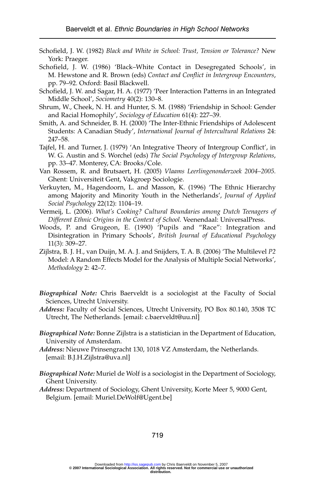- Schofield, J. W. (1982) *Black and White in School: Trust, Tension or Tolerance?* New York: Praeger.
- Schofield, J. W. (1986) 'Black–White Contact in Desegregated Schools', in M. Hewstone and R. Brown (eds) *Contact and Conflict in Intergroup Encounters*, pp. 79–92. Oxford: Basil Blackwell.
- Schofield, J. W. and Sagar, H. A. (1977) 'Peer Interaction Patterns in an Integrated Middle School', *Sociometry* 40(2): 130–8.
- Shrum, W., Cheek, N. H. and Hunter, S. M. (1988) 'Friendship in School: Gender and Racial Homophily', *Sociology of Education* 61(4): 227–39.
- Smith, A. and Schneider, B. H. (2000) 'The Inter-Ethnic Friendships of Adolescent Students: A Canadian Study', *International Journal of Intercultural Relations* 24: 247–58.
- Tajfel, H. and Turner, J. (1979) 'An Integrative Theory of Intergroup Conflict', in W. G. Austin and S. Worchel (eds) *The Social Psychology of Intergroup Relations*, pp. 33–47. Monterey, CA: Brooks/Cole.
- Van Rossem, R. and Brutsaert, H. (2005) *Vlaams Leerlingenonderzoek 2004–2005*. Ghent: Universiteit Gent, Vakgroep Sociologie.
- Verkuyten, M., Hagendoorn, L. and Masson, K. (1996) 'The Ethnic Hierarchy among Majority and Minority Youth in the Netherlands', *Journal of Applied Social Psychology* 22(12): 1104–19.
- Vermeij, L. (2006). *What's Cooking? Cultural Boundaries among Dutch Teenagers of Different Ethnic Origins in the Context of School.* Veenendaal: UniversalPress.
- Woods, P. and Grugeon, E. (1990) 'Pupils and "Race": Integration and Disintegration in Primary Schools', *British Journal of Educational Psychology* 11(3): 309–27.
- Zijlstra, B. J. H., van Duijn, M. A. J. and Snijders, T. A. B. (2006) 'The Multilevel *P2* Model: A Random Effects Model for the Analysis of Multiple Social Networks', *Methodology* 2: 42–7.
- *Biographical Note:* Chris Baerveldt is a sociologist at the Faculty of Social Sciences, Utrecht University.
- *Address:* Faculty of Social Sciences, Utrecht University, PO Box 80.140, 3508 TC Utrecht, The Netherlands. [email: c.baerveldt@uu.nl]
- *Biographical Note:* Bonne Zijlstra is a statistician in the Department of Education, University of Amsterdam.
- *Address:* Nieuwe Prinsengracht 130, 1018 VZ Amsterdam, the Netherlands. [email: B.J.H.Zijlstra@uva.nl]
- *Biographical Note:* Muriel de Wolf is a sociologist in the Department of Sociology, Ghent University.
- *Address:* Department of Sociology, Ghent University, Korte Meer 5, 9000 Gent, Belgium. [email: Muriel.DeWolf@Ugent.be]